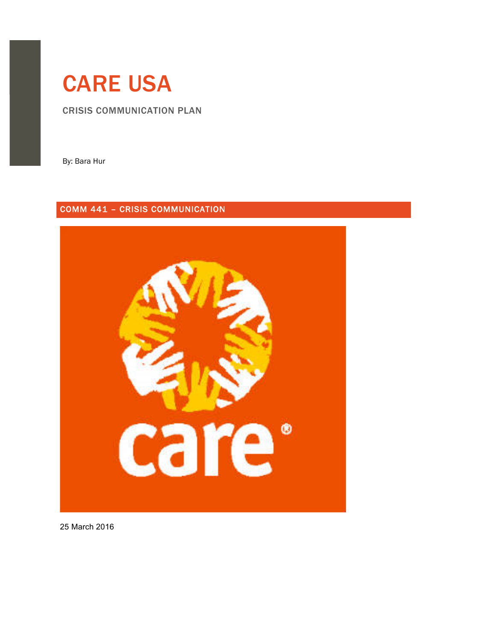# CARE USA

CRISIS COMMUNICATION PLAN

By: Bara Hur

# COMM 441 – CRISIS COMMUNICATION



25 March!2016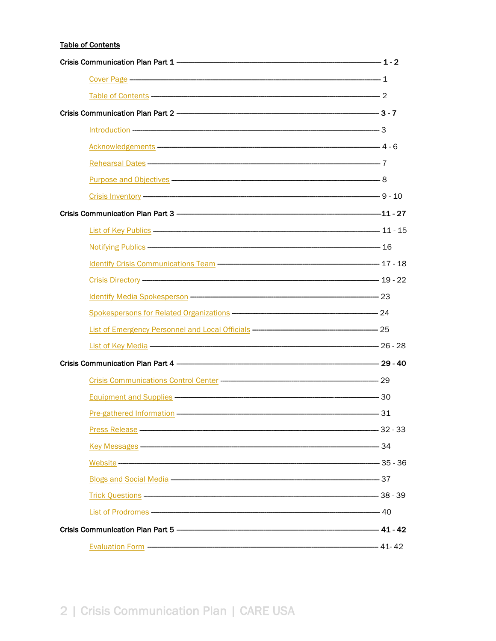## **Table of Contents**

| Cover Page 2012 1                                                                                                                                                                                                                    |  |
|--------------------------------------------------------------------------------------------------------------------------------------------------------------------------------------------------------------------------------------|--|
| Table of Contents – 2                                                                                                                                                                                                                |  |
|                                                                                                                                                                                                                                      |  |
| $Introduction \begin{tabular}{l} \hline \textbf{Introduction} & \textbf{---} & \textbf{---} & \textbf{---} \\ \hline \end{tabular}$                                                                                                  |  |
| Acknowledgements - 4 - 6                                                                                                                                                                                                             |  |
| Rehearsal Dates - The Contract of the Contract of Technical Contract of Technical Contract of Technical Contract of Technical Contract of Technical Contract of Technical Contract of Technical Contract of Technical Contract       |  |
|                                                                                                                                                                                                                                      |  |
|                                                                                                                                                                                                                                      |  |
|                                                                                                                                                                                                                                      |  |
| List of Key Publics 11 - 15                                                                                                                                                                                                          |  |
|                                                                                                                                                                                                                                      |  |
| Identify Crisis Communications Team - The Communications Team - The Communications Team - The Communications Team                                                                                                                    |  |
| Crisis Directory —————————————————————————————————— 19 - 22                                                                                                                                                                          |  |
| Identify Media Spokesperson - 23                                                                                                                                                                                                     |  |
|                                                                                                                                                                                                                                      |  |
|                                                                                                                                                                                                                                      |  |
| List of Key Media - 26 - 28                                                                                                                                                                                                          |  |
|                                                                                                                                                                                                                                      |  |
|                                                                                                                                                                                                                                      |  |
|                                                                                                                                                                                                                                      |  |
| Pre-gathered Information <b>Construction</b> 31                                                                                                                                                                                      |  |
|                                                                                                                                                                                                                                      |  |
| Key Messages - 34                                                                                                                                                                                                                    |  |
|                                                                                                                                                                                                                                      |  |
| Blogs and Social Media <b>Construction</b> and a strategy of the strategy of the strategy of the strategy of the strategy of the strategy of the strategy of the strategy of the strategy of the strategy of the strategy of the st  |  |
|                                                                                                                                                                                                                                      |  |
| List of Prodromes <b>Contract Contract Contract Contract Contract Contract Contract Contract Contract Contract Contract Contract Contract Contract Contract Contract Contract Contract Contract Contract Contract Contract Contr</b> |  |
|                                                                                                                                                                                                                                      |  |
| Evaluation Form ———————————————————————————————————41-42                                                                                                                                                                             |  |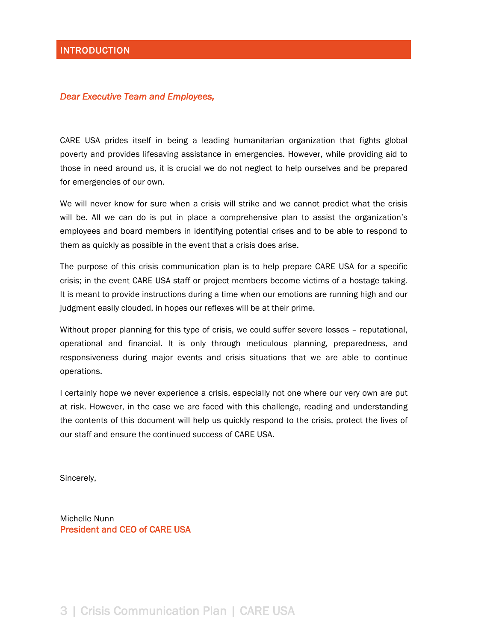#### *Dear Executive Team and Employees,*

CARE USA prides itself in being a leading humanitarian organization that fights global poverty and provides lifesaving assistance in emergencies. However, while providing aid to those in need around us, it is crucial we do not neglect to help ourselves and be prepared for emergencies of our own.

We will never know for sure when a crisis will strike and we cannot predict what the crisis will be. All we can do is put in place a comprehensive plan to assist the organization's employees and board members in identifying potential crises and to be able to respond to them as quickly as possible in the event that a crisis does arise.

The purpose of this crisis communication plan is to help prepare CARE USA for a specific crisis; in the event CARE USA staff or project members become victims of a hostage taking. It is meant to provide instructions during a time when our emotions are running high and our judgment easily clouded, in hopes our reflexes will be at their prime.

Without proper planning for this type of crisis, we could suffer severe losses – reputational, operational and financial. It is only through meticulous planning, preparedness, and responsiveness during major events and crisis situations that we are able to continue operations.

I certainly hope we never experience a crisis, especially not one where our very own are put at risk. However, in the case we are faced with this challenge, reading and understanding the contents of this document will help us quickly respond to the crisis, protect the lives of our staff and ensure the continued success of CARE USA.

Sincerely,

Michelle Nunn President and CEO of CARE USA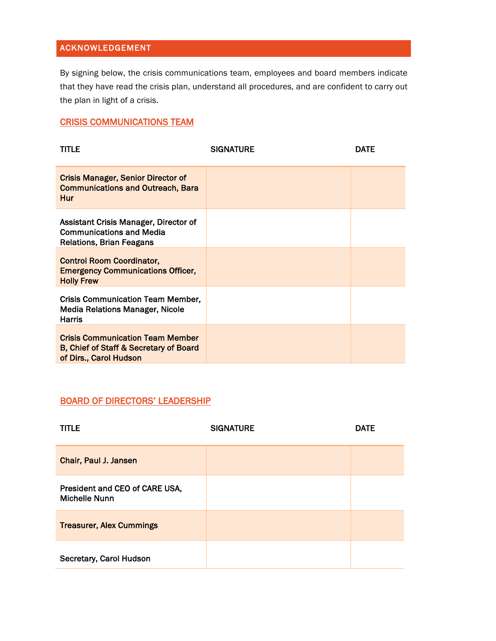# ACKNOWLEDGEMENT

By signing below, the crisis communications team, employees and board members indicate that they have read the crisis plan, understand all procedures, and are confident to carry out the plan in light of a crisis.

# CRISIS COMMUNICATIONS TEAM

| <b>TITLE</b>                                                                                                | <b>SIGNATURE</b> | <b>DATE</b> |
|-------------------------------------------------------------------------------------------------------------|------------------|-------------|
| <b>Crisis Manager, Senior Director of</b><br><b>Communications and Outreach, Bara</b><br><b>Hur</b>         |                  |             |
| Assistant Crisis Manager, Director of<br><b>Communications and Media</b><br><b>Relations, Brian Feagans</b> |                  |             |
| <b>Control Room Coordinator,</b><br><b>Emergency Communications Officer,</b><br><b>Holly Frew</b>           |                  |             |
| <b>Crisis Communication Team Member,</b><br>Media Relations Manager, Nicole<br>Harris                       |                  |             |
| <b>Crisis Communication Team Member</b><br>B, Chief of Staff & Secretary of Board<br>of Dirs., Carol Hudson |                  |             |

## BOARD OF DIRECTORS' LEADERSHIP

| <b>TITLE</b>                                           | <b>SIGNATURE</b> | <b>DATE</b> |
|--------------------------------------------------------|------------------|-------------|
| Chair, Paul J. Jansen                                  |                  |             |
| President and CEO of CARE USA,<br><b>Michelle Nunn</b> |                  |             |
| <b>Treasurer, Alex Cummings</b>                        |                  |             |
| Secretary, Carol Hudson                                |                  |             |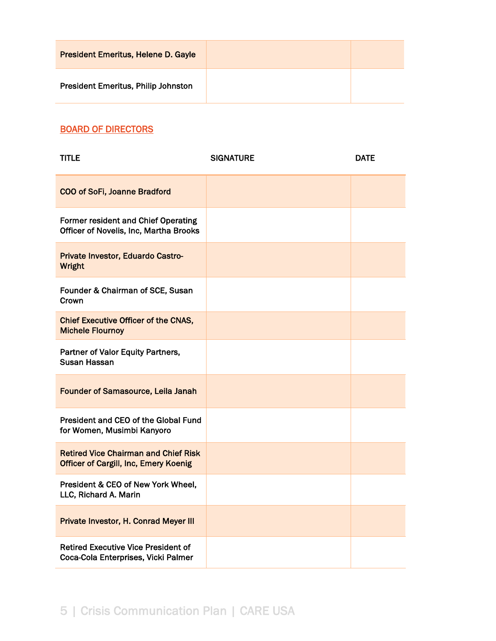| <b>President Emeritus, Helene D. Gayle</b> |  |
|--------------------------------------------|--|
| <b>President Emeritus, Philip Johnston</b> |  |

# BOARD OF DIRECTORS

| <b>TITLE</b>                                                                                | <b>SIGNATURE</b> | <b>DATE</b> |
|---------------------------------------------------------------------------------------------|------------------|-------------|
| <b>COO of SoFi, Joanne Bradford</b>                                                         |                  |             |
| <b>Former resident and Chief Operating</b><br>Officer of Novelis, Inc, Martha Brooks        |                  |             |
| Private Investor, Eduardo Castro-<br><b>Wright</b>                                          |                  |             |
| Founder & Chairman of SCE, Susan<br>Crown                                                   |                  |             |
| <b>Chief Executive Officer of the CNAS,</b><br><b>Michele Flournoy</b>                      |                  |             |
| Partner of Valor Equity Partners,<br>Susan Hassan                                           |                  |             |
| <b>Founder of Samasource, Leila Janah</b>                                                   |                  |             |
| President and CEO of the Global Fund<br>for Women, Musimbi Kanyoro                          |                  |             |
| <b>Retired Vice Chairman and Chief Risk</b><br><b>Officer of Cargill, Inc, Emery Koenig</b> |                  |             |
| President & CEO of New York Wheel,<br>LLC, Richard A. Marin                                 |                  |             |
| Private Investor, H. Conrad Meyer III                                                       |                  |             |
| <b>Retired Executive Vice President of</b><br>Coca-Cola Enterprises, Vicki Palmer           |                  |             |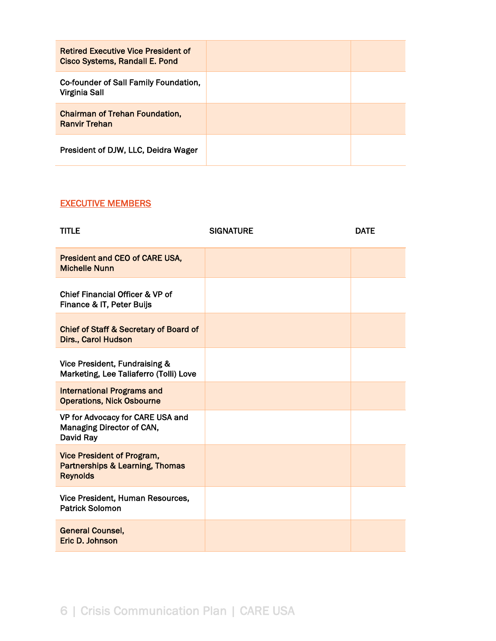| <b>Retired Executive Vice President of</b><br><b>Cisco Systems, Randall E. Pond</b> |  |
|-------------------------------------------------------------------------------------|--|
| Co-founder of Sall Family Foundation,<br>Virginia Sall                              |  |
| <b>Chairman of Trehan Foundation,</b><br><b>Ranvir Trehan</b>                       |  |
| President of DJW, LLC, Deidra Wager                                                 |  |

# EXECUTIVE MEMBERS

| <b>TITLE</b>                                                                                       | <b>SIGNATURE</b> | <b>DATE</b> |
|----------------------------------------------------------------------------------------------------|------------------|-------------|
| <b>President and CEO of CARE USA,</b><br><b>Michelle Nunn</b>                                      |                  |             |
| Chief Financial Officer & VP of<br>Finance & IT, Peter Buijs                                       |                  |             |
| <b>Chief of Staff &amp; Secretary of Board of</b><br>Dirs., Carol Hudson                           |                  |             |
| Vice President, Fundraising &<br>Marketing, Lee Taliaferro (Tolli) Love                            |                  |             |
| <b>International Programs and</b><br><b>Operations, Nick Osbourne</b>                              |                  |             |
| VP for Advocacy for CARE USA and<br>Managing Director of CAN,<br>David Ray                         |                  |             |
| <b>Vice President of Program,</b><br><b>Partnerships &amp; Learning, Thomas</b><br><b>Reynolds</b> |                  |             |
| Vice President, Human Resources,<br><b>Patrick Solomon</b>                                         |                  |             |
| <b>General Counsel,</b><br>Eric D. Johnson                                                         |                  |             |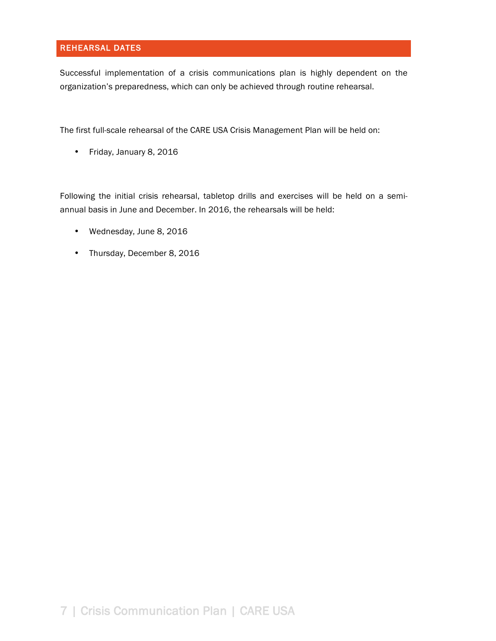## REHEARSAL DATES

Successful implementation of a crisis communications plan is highly dependent on the organization's preparedness, which can only be achieved through routine rehearsal.

The first full-scale rehearsal of the CARE USA Crisis Management Plan will be held on:

• Friday, January 8, 2016

Following the initial crisis rehearsal, tabletop drills and exercises will be held on a semiannual basis in June and December. In 2016, the rehearsals will be held:

- Wednesday, June 8, 2016
- Thursday, December 8, 2016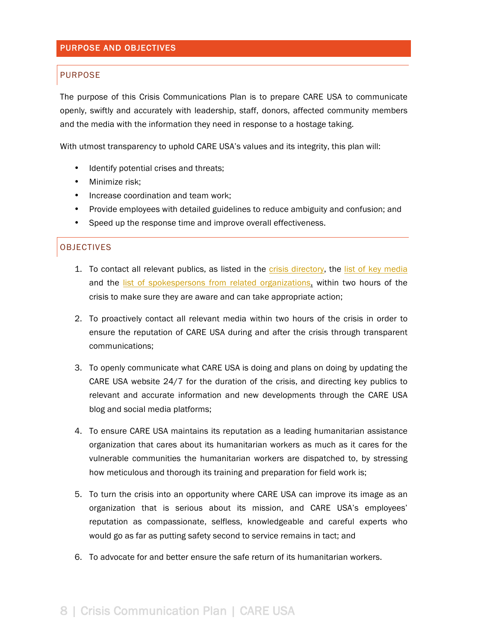#### PURPOSE AND OBJECTIVES

#### PURPOSE

The purpose of this Crisis Communications Plan is to prepare CARE USA to communicate openly, swiftly and accurately with leadership, staff, donors, affected community members and the media with the information they need in response to a hostage taking.

With utmost transparency to uphold CARE USA's values and its integrity, this plan will:

- Identify potential crises and threats;
- Minimize risk;
- Increase coordination and team work;
- Provide employees with detailed guidelines to reduce ambiguity and confusion; and
- Speed up the response time and improve overall effectiveness.

#### OBJECTIVES

- 1. To contact all relevant publics, as listed in the crisis directory, the list of key media and the list of spokespersons from related organizations, within two hours of the crisis to make sure they are aware and can take appropriate action;
- 2. To proactively contact all relevant media within two hours of the crisis in order to ensure the reputation of CARE USA during and after the crisis through transparent communications;
- 3. To openly communicate what CARE USA is doing and plans on doing by updating the CARE USA website 24/7 for the duration of the crisis, and directing key publics to relevant and accurate information and new developments through the CARE USA blog and social media platforms;
- 4. To ensure CARE USA maintains its reputation as a leading humanitarian assistance organization that cares about its humanitarian workers as much as it cares for the vulnerable communities the humanitarian workers are dispatched to, by stressing how meticulous and thorough its training and preparation for field work is;
- 5. To turn the crisis into an opportunity where CARE USA can improve its image as an organization that is serious about its mission, and CARE USA's employees' reputation as compassionate, selfless, knowledgeable and careful experts who would go as far as putting safety second to service remains in tact; and
- 6. To advocate for and better ensure the safe return of its humanitarian workers.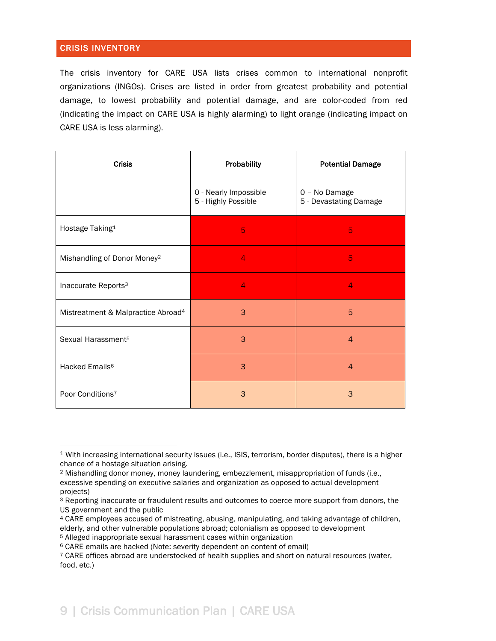## CRISIS INVENTORY

The crisis inventory for CARE USA lists crises common to international nonprofit organizations (INGOs). Crises are listed in order from greatest probability and potential damage, to lowest probability and potential damage, and are color-coded from red (indicating the impact on CARE USA is highly alarming) to light orange (indicating impact on CARE USA is less alarming).

| <b>Crisis</b>                                  | Probability                                  | <b>Potential Damage</b>                 |  |
|------------------------------------------------|----------------------------------------------|-----------------------------------------|--|
|                                                | 0 - Nearly Impossible<br>5 - Highly Possible | 0 - No Damage<br>5 - Devastating Damage |  |
| Hostage Taking <sup>1</sup>                    | 5                                            | 5                                       |  |
| Mishandling of Donor Money <sup>2</sup>        | 4                                            | 5                                       |  |
| Inaccurate Reports <sup>3</sup>                | $\overline{4}$                               | 4                                       |  |
| Mistreatment & Malpractice Abroad <sup>4</sup> | 3                                            | 5                                       |  |
| Sexual Harassment <sup>5</sup>                 | 3                                            | $\overline{4}$                          |  |
| Hacked Emails <sup>6</sup>                     | 3                                            | $\overline{4}$                          |  |
| Poor Conditions <sup>7</sup>                   | 3                                            | 3                                       |  |

<sup>4</sup> CARE employees accused of mistreating, abusing, manipulating, and taking advantage of children, elderly, and other vulnerable populations abroad; colonialism as opposed to development

 <sup>1</sup> With increasing international security issues (i.e., ISIS, terrorism, border disputes), there is a higher chance of a hostage situation arising.

<sup>2</sup> Mishandling donor money, money laundering, embezzlement, misappropriation of funds (i.e., excessive spending on executive salaries and organization as opposed to actual development projects)

<sup>3</sup> Reporting inaccurate or fraudulent results and outcomes to coerce more support from donors, the US government and the public

<sup>5</sup> Alleged inappropriate sexual harassment cases within organization

<sup>6</sup> CARE emails are hacked (Note: severity dependent on content of email)

<sup>7</sup> CARE offices abroad are understocked of health supplies and short on natural resources (water, food, etc.)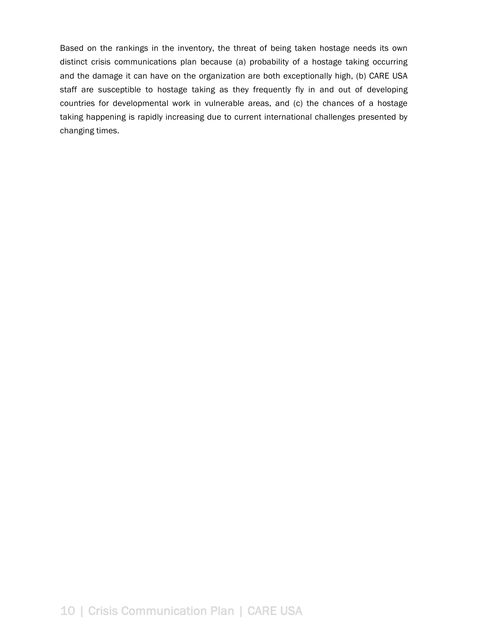Based on the rankings in the inventory, the threat of being taken hostage needs its own distinct crisis communications plan because (a) probability of a hostage taking occurring and the damage it can have on the organization are both exceptionally high, (b) CARE USA staff are susceptible to hostage taking as they frequently fly in and out of developing countries for developmental work in vulnerable areas, and (c) the chances of a hostage taking happening is rapidly increasing due to current international challenges presented by changing times.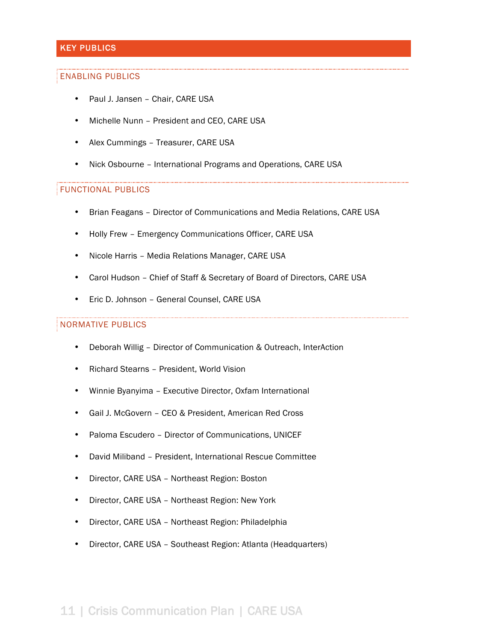## KEY PUBLICS

#### ENABLING PUBLICS

- Paul J. Jansen Chair, CARE USA
- Michelle Nunn President and CEO, CARE USA
- Alex Cummings Treasurer, CARE USA
- Nick Osbourne International Programs and Operations, CARE USA

#### FUNCTIONAL PUBLICS

- Brian Feagans Director of Communications and Media Relations, CARE USA
- Holly Frew Emergency Communications Officer, CARE USA
- Nicole Harris Media Relations Manager, CARE USA
- Carol Hudson Chief of Staff & Secretary of Board of Directors, CARE USA
- Eric D. Johnson General Counsel, CARE USA

#### NORMATIVE PUBLICS

- Deborah Willig Director of Communication & Outreach, InterAction
- Richard Stearns President, World Vision
- Winnie Byanyima Executive Director, Oxfam International
- Gail J. McGovern CEO & President, American Red Cross
- Paloma Escudero Director of Communications, UNICEF
- David Miliband President, International Rescue Committee
- Director, CARE USA Northeast Region: Boston
- Director, CARE USA Northeast Region: New York
- Director, CARE USA Northeast Region: Philadelphia
- Director, CARE USA Southeast Region: Atlanta (Headquarters)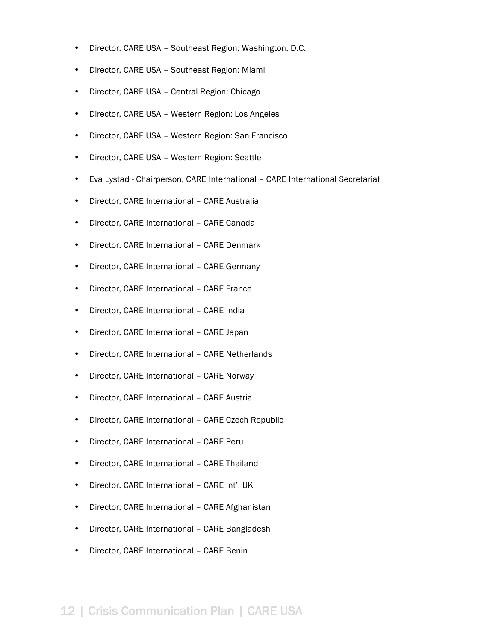- Director, CARE USA Southeast Region: Washington, D.C.
- Director, CARE USA Southeast Region: Miami
- Director, CARE USA Central Region: Chicago
- Director, CARE USA Western Region: Los Angeles
- Director, CARE USA Western Region: San Francisco
- Director, CARE USA Western Region: Seattle
- Eva Lystad Chairperson, CARE International CARE International Secretariat
- Director, CARE International CARE Australia
- Director, CARE International CARE Canada
- Director, CARE International CARE Denmark
- Director, CARE International CARE Germany
- Director, CARE International CARE France
- Director, CARE International CARE India
- Director, CARE International CARE Japan
- Director, CARE International CARE Netherlands
- Director, CARE International CARE Norway
- Director, CARE International CARE Austria
- Director, CARE International CARE Czech Republic
- Director, CARE International CARE Peru
- Director, CARE International CARE Thailand
- Director, CARE International CARE Int'l UK
- Director, CARE International CARE Afghanistan
- Director, CARE International CARE Bangladesh
- Director, CARE International CARE Benin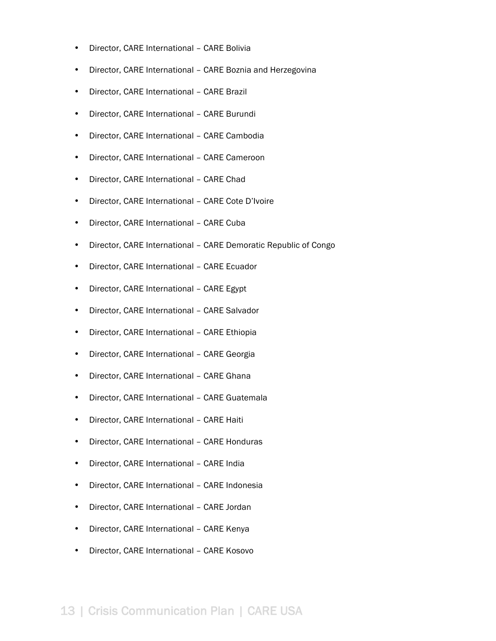- Director, CARE International CARE Bolivia
- Director, CARE International CARE Boznia and Herzegovina
- Director, CARE International CARE Brazil
- Director, CARE International CARE Burundi
- Director, CARE International CARE Cambodia
- Director, CARE International CARE Cameroon
- Director, CARE International CARE Chad
- Director, CARE International CARE Cote D'Ivoire
- Director, CARE International CARE Cuba
- Director, CARE International CARE Demoratic Republic of Congo
- Director, CARE International CARE Ecuador
- Director, CARE International CARE Egypt
- Director, CARE International CARE Salvador
- Director, CARE International CARE Ethiopia
- Director, CARE International CARE Georgia
- Director, CARE International CARE Ghana
- Director, CARE International CARE Guatemala
- Director, CARE International CARE Haiti
- Director, CARE International CARE Honduras
- Director, CARE International CARE India
- Director, CARE International CARE Indonesia
- Director, CARE International CARE Jordan
- Director, CARE International CARE Kenya
- Director, CARE International CARE Kosovo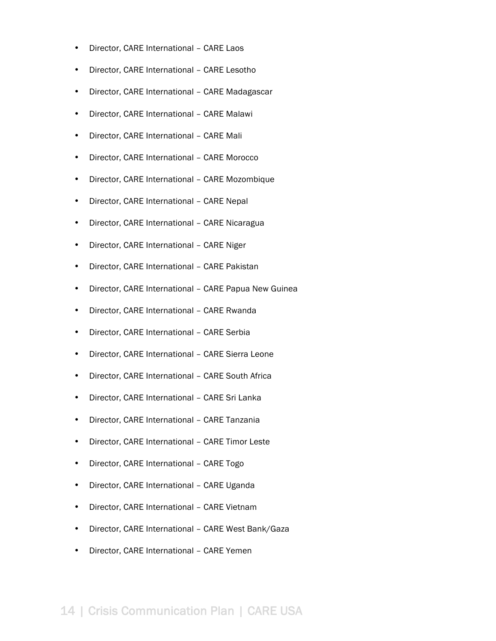- Director, CARE International CARE Laos
- Director, CARE International CARE Lesotho
- Director, CARE International CARE Madagascar
- Director, CARE International CARE Malawi
- Director, CARE International CARE Mali
- Director, CARE International CARE Morocco
- Director, CARE International CARE Mozombique
- Director, CARE International CARE Nepal
- Director, CARE International CARE Nicaragua
- Director, CARE International CARE Niger
- Director, CARE International CARE Pakistan
- Director, CARE International CARE Papua New Guinea
- Director, CARE International CARE Rwanda
- Director, CARE International CARE Serbia
- Director, CARE International CARE Sierra Leone
- Director, CARE International CARE South Africa
- Director, CARE International CARE Sri Lanka
- Director, CARE International CARE Tanzania
- Director, CARE International CARE Timor Leste
- Director, CARE International CARE Togo
- Director, CARE International CARE Uganda
- Director, CARE International CARE Vietnam
- Director, CARE International CARE West Bank/Gaza
- Director, CARE International CARE Yemen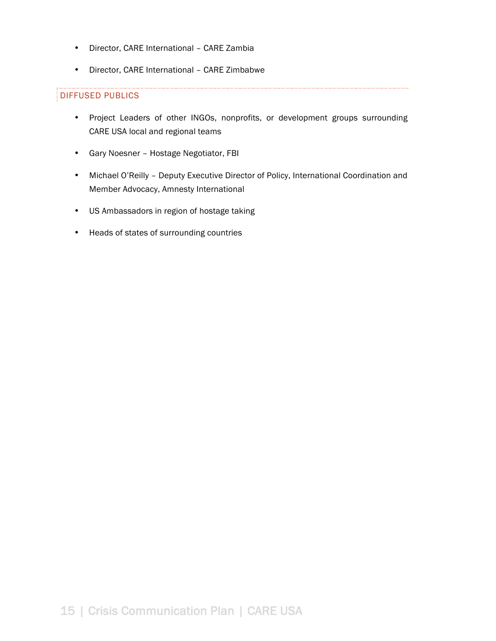- Director, CARE International CARE Zambia
- Director, CARE International CARE Zimbabwe

## DIFFUSED PUBLICS

- Project Leaders of other INGOs, nonprofits, or development groups surrounding CARE USA local and regional teams
- Gary Noesner Hostage Negotiator, FBI
- Michael O'Reilly Deputy Executive Director of Policy, International Coordination and Member Advocacy, Amnesty International
- US Ambassadors in region of hostage taking
- Heads of states of surrounding countries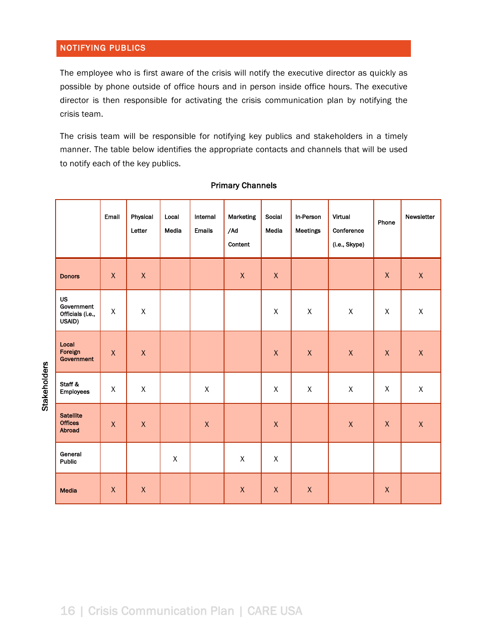## NOTIFYING PUBLICS

The employee who is first aware of the crisis will notify the executive director as quickly as possible by phone outside of office hours and in person inside office hours. The executive director is then responsible for activating the crisis communication plan by notifying the crisis team.

The crisis team will be responsible for notifying key publics and stakeholders in a timely manner. The table below identifies the appropriate contacts and channels that will be used to notify each of the key publics.

|                                                       | Email        | Physical<br>Letter | Local<br>Media | Internal<br><b>Emails</b> | Marketing<br>/Ad<br>Content | Social<br>Media | In-Person<br>Meetings | Virtual<br>Conference<br>(i.e., Skype) | Phone              | Newsletter  |
|-------------------------------------------------------|--------------|--------------------|----------------|---------------------------|-----------------------------|-----------------|-----------------------|----------------------------------------|--------------------|-------------|
| <b>Donors</b>                                         | $\mathsf X$  | $\mathsf X$        |                |                           | $\mathsf X$                 | $\mathsf X$     |                       |                                        | $\mathsf X$        | $\mathsf X$ |
| <b>US</b><br>Government<br>Officials (i.e.,<br>USAID) | X            | $\sf X$            |                |                           |                             | $\mathsf X$     | $\pmb{\chi}$          | $\mathsf X$                            | $\pmb{\mathsf{X}}$ | $\mathsf X$ |
| Local<br>Foreign<br>Government                        | $\mathsf X$  | $\mathsf X$        |                |                           |                             | $\mathsf X$     | $\pmb{\chi}$          | $\mathsf X$                            | $\mathsf X$        | $\mathsf X$ |
| Staff &<br><b>Employees</b>                           | $\mathsf{X}$ | $\mathsf X$        |                | $\mathsf X$               |                             | $\mathsf X$     | $\mathsf X$           | $\mathsf X$                            | $\mathsf{X}% _{0}$ | $\mathsf X$ |
| <b>Satellite</b><br><b>Offices</b><br>Abroad          | $\mathsf X$  | $\pmb{\chi}$       |                | $\pmb{\chi}$              |                             | $\mathsf X$     |                       | $\pmb{\chi}$                           | $\pmb{\mathsf{X}}$ | $\mathsf X$ |
| General<br>Public                                     |              |                    | X              |                           | $\mathsf{X}$                | $\mathsf{X}$    |                       |                                        |                    |             |
| Media                                                 | $\mathsf X$  | $\mathsf X$        |                |                           | $\pmb{\mathsf{X}}$          | $\mathsf{X}$    | $\mathsf X$           |                                        | $\mathsf X$        |             |

#### Primary Channels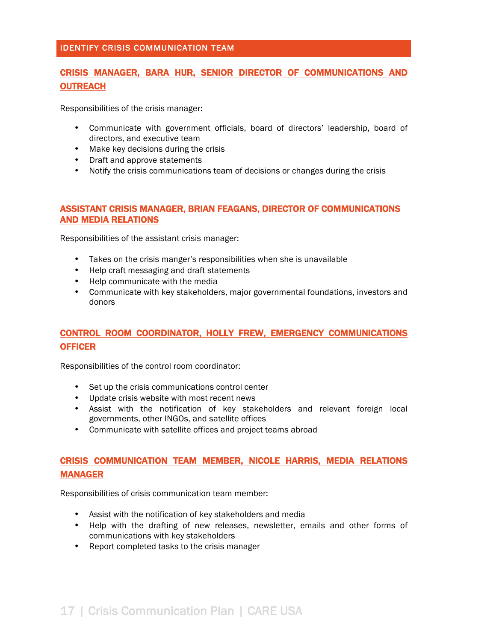### IDENTIFY CRISIS COMMUNICATION TEAM

# CRISIS MANAGER, BARA HUR, SENIOR DIRECTOR OF COMMUNICATIONS AND **OUTREACH**

Responsibilities of the crisis manager:

- Communicate with government officials, board of directors' leadership, board of directors, and executive team
- Make key decisions during the crisis
- Draft and approve statements
- Notify the crisis communications team of decisions or changes during the crisis

### ASSISTANT CRISIS MANAGER, BRIAN FEAGANS, DIRECTOR OF COMMUNICATIONS AND MEDIA RELATIONS

Responsibilities of the assistant crisis manager:

- Takes on the crisis manger's responsibilities when she is unavailable
- Help craft messaging and draft statements
- Help communicate with the media
- Communicate with key stakeholders, major governmental foundations, investors and donors

# CONTROL ROOM COORDINATOR, HOLLY FREW, EMERGENCY COMMUNICATIONS **OFFICER**

Responsibilities of the control room coordinator:

- Set up the crisis communications control center
- Update crisis website with most recent news
- Assist with the notification of key stakeholders and relevant foreign local governments, other INGOs, and satellite offices
- Communicate with satellite offices and project teams abroad

# CRISIS COMMUNICATION TEAM MEMBER, NICOLE HARRIS, MEDIA RELATIONS MANAGER

Responsibilities of crisis communication team member:

- Assist with the notification of key stakeholders and media
- Help with the drafting of new releases, newsletter, emails and other forms of communications with key stakeholders
- Report completed tasks to the crisis manager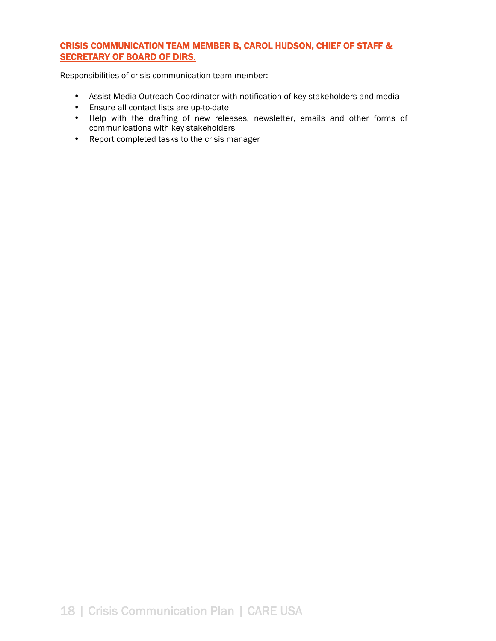## CRISIS COMMUNICATION TEAM MEMBER B, CAROL HUDSON, CHIEF OF STAFF & SECRETARY OF BOARD OF DIRS.

Responsibilities of crisis communication team member:

- Assist Media Outreach Coordinator with notification of key stakeholders and media
- Ensure all contact lists are up-to-date
- Help with the drafting of new releases, newsletter, emails and other forms of communications with key stakeholders
- Report completed tasks to the crisis manager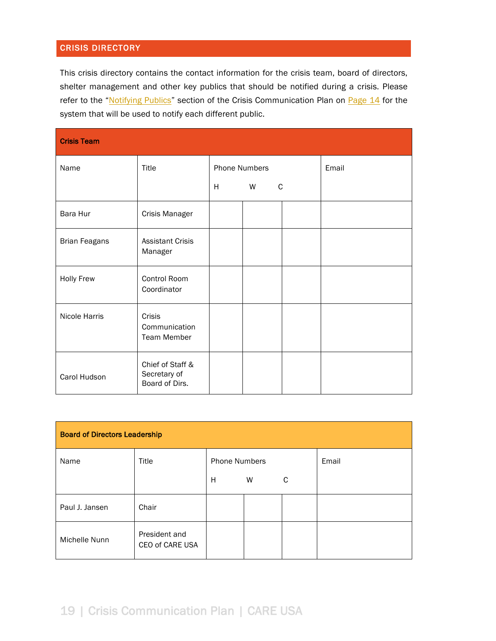## CRISIS DIRECTORY

This crisis directory contains the contact information for the crisis team, board of directors, shelter management and other key publics that should be notified during a crisis. Please refer to the "Notifying Publics" section of the Crisis Communication Plan on Page 14 for the system that will be used to notify each different public.

| <b>Crisis Team</b>   |                                                      |                      |   |   |       |
|----------------------|------------------------------------------------------|----------------------|---|---|-------|
| Name                 | Title                                                | <b>Phone Numbers</b> |   |   | Email |
|                      |                                                      | H                    | W | C |       |
| Bara Hur             | Crisis Manager                                       |                      |   |   |       |
| <b>Brian Feagans</b> | <b>Assistant Crisis</b><br>Manager                   |                      |   |   |       |
| <b>Holly Frew</b>    | Control Room<br>Coordinator                          |                      |   |   |       |
| Nicole Harris        | <b>Crisis</b><br>Communication<br><b>Team Member</b> |                      |   |   |       |
| Carol Hudson         | Chief of Staff &<br>Secretary of<br>Board of Dirs.   |                      |   |   |       |

| <b>Board of Directors Leadership</b> |                                  |                      |   |   |       |  |  |  |
|--------------------------------------|----------------------------------|----------------------|---|---|-------|--|--|--|
| Name                                 | Title                            | <b>Phone Numbers</b> |   |   | Email |  |  |  |
|                                      |                                  | н                    | W | C |       |  |  |  |
| Paul J. Jansen                       | Chair                            |                      |   |   |       |  |  |  |
| Michelle Nunn                        | President and<br>CEO of CARE USA |                      |   |   |       |  |  |  |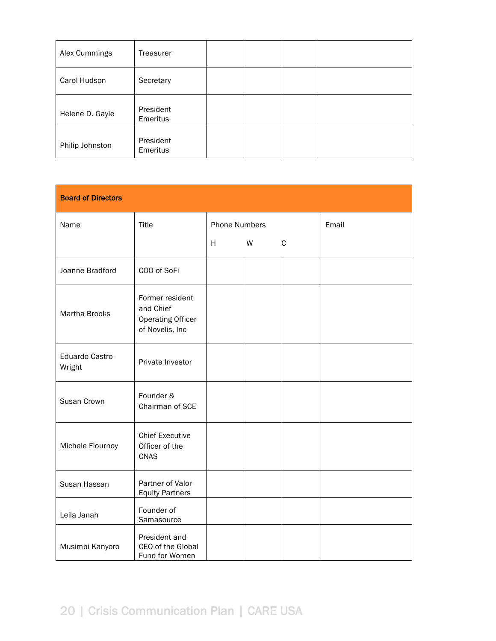| Alex Cummings   | Treasurer             |  |  |
|-----------------|-----------------------|--|--|
| Carol Hudson    | Secretary             |  |  |
| Helene D. Gayle | President<br>Emeritus |  |  |
| Philip Johnston | President<br>Emeritus |  |  |

| <b>Board of Directors</b> |                                                                             |                      |   |              |       |
|---------------------------|-----------------------------------------------------------------------------|----------------------|---|--------------|-------|
| Name                      | Title                                                                       | <b>Phone Numbers</b> |   |              | Email |
|                           |                                                                             | H                    | W | $\mathsf{C}$ |       |
| Joanne Bradford           | COO of SoFi                                                                 |                      |   |              |       |
| Martha Brooks             | Former resident<br>and Chief<br><b>Operating Officer</b><br>of Novelis, Inc |                      |   |              |       |
| Eduardo Castro-<br>Wright | Private Investor                                                            |                      |   |              |       |
| Susan Crown               | Founder &<br>Chairman of SCE                                                |                      |   |              |       |
| Michele Flournoy          | <b>Chief Executive</b><br>Officer of the<br>CNAS                            |                      |   |              |       |
| Susan Hassan              | Partner of Valor<br><b>Equity Partners</b>                                  |                      |   |              |       |
| Leila Janah               | Founder of<br>Samasource                                                    |                      |   |              |       |
| Musimbi Kanyoro           | President and<br>CEO of the Global<br>Fund for Women                        |                      |   |              |       |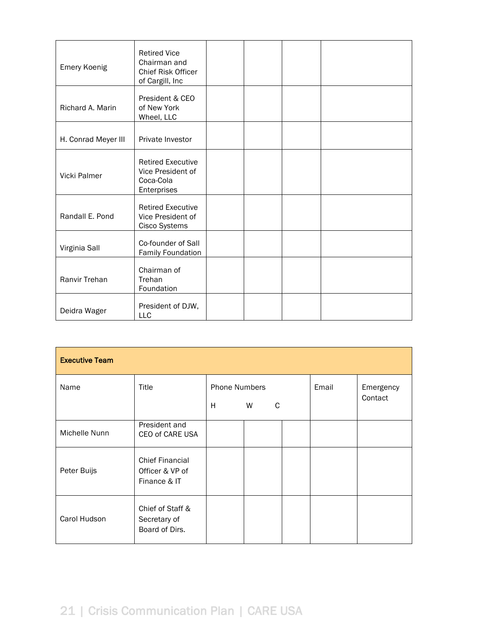| <b>Emery Koenig</b> | <b>Retired Vice</b><br>Chairman and<br><b>Chief Risk Officer</b><br>of Cargill, Inc |  |  |
|---------------------|-------------------------------------------------------------------------------------|--|--|
| Richard A. Marin    | President & CEO<br>of New York<br>Wheel, LLC                                        |  |  |
| H. Conrad Meyer III | Private Investor                                                                    |  |  |
| Vicki Palmer        | <b>Retired Executive</b><br>Vice President of<br>Coca-Cola<br>Enterprises           |  |  |
| Randall E. Pond     | <b>Retired Executive</b><br>Vice President of<br>Cisco Systems                      |  |  |
| Virginia Sall       | Co-founder of Sall<br><b>Family Foundation</b>                                      |  |  |
| Ranvir Trehan       | Chairman of<br>Trehan<br>Foundation                                                 |  |  |
| Deidra Wager        | President of DJW,<br>LLC                                                            |  |  |

| <b>Executive Team</b> |                                                           |                                     |  |       |                      |  |
|-----------------------|-----------------------------------------------------------|-------------------------------------|--|-------|----------------------|--|
| Name                  | Title                                                     | <b>Phone Numbers</b><br>H<br>W<br>C |  | Email | Emergency<br>Contact |  |
| Michelle Nunn         | President and<br>CEO of CARE USA                          |                                     |  |       |                      |  |
| Peter Buijs           | <b>Chief Financial</b><br>Officer & VP of<br>Finance & IT |                                     |  |       |                      |  |
| Carol Hudson          | Chief of Staff &<br>Secretary of<br>Board of Dirs.        |                                     |  |       |                      |  |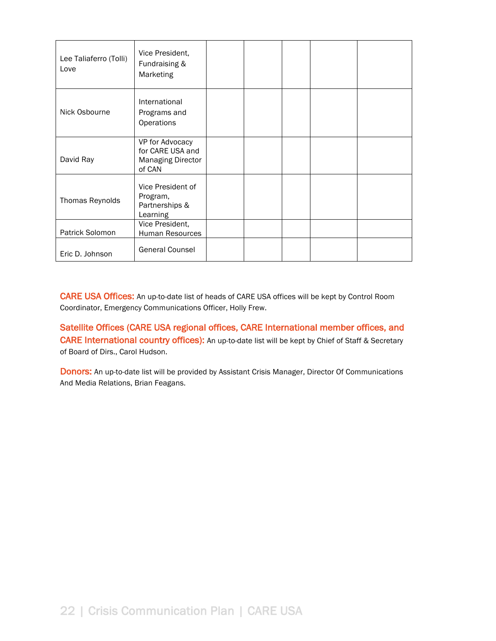| Lee Taliaferro (Tolli)<br>Love | Vice President,<br>Fundraising &<br>Marketing                             |  |  |  |
|--------------------------------|---------------------------------------------------------------------------|--|--|--|
| Nick Osbourne                  | International<br>Programs and<br>Operations                               |  |  |  |
| David Ray                      | VP for Advocacy<br>for CARE USA and<br><b>Managing Director</b><br>of CAN |  |  |  |
| Thomas Reynolds                | Vice President of<br>Program,<br>Partnerships &<br>Learning               |  |  |  |
| Patrick Solomon                | Vice President,<br>Human Resources                                        |  |  |  |
| Eric D. Johnson                | <b>General Counsel</b>                                                    |  |  |  |

CARE USA Offices: An up-to-date list of heads of CARE USA offices will be kept by Control Room Coordinator, Emergency Communications Officer, Holly Frew.

Satellite Offices (CARE USA regional offices, CARE International member offices, and CARE International country offices): An up-to-date list will be kept by Chief of Staff & Secretary of Board of Dirs., Carol Hudson.

Donors: An up-to-date list will be provided by Assistant Crisis Manager, Director Of Communications And Media Relations, Brian Feagans.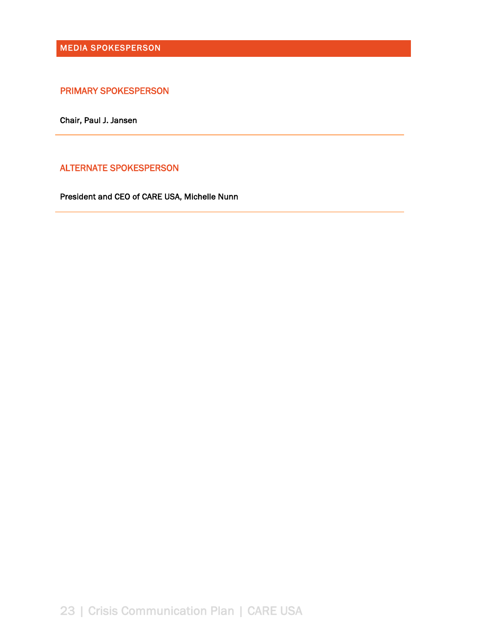MEDIA SPOKESPERSON

PRIMARY SPOKESPERSON

Chair, Paul J. Jansen

ALTERNATE SPOKESPERSON

President and CEO of CARE USA, Michelle Nunn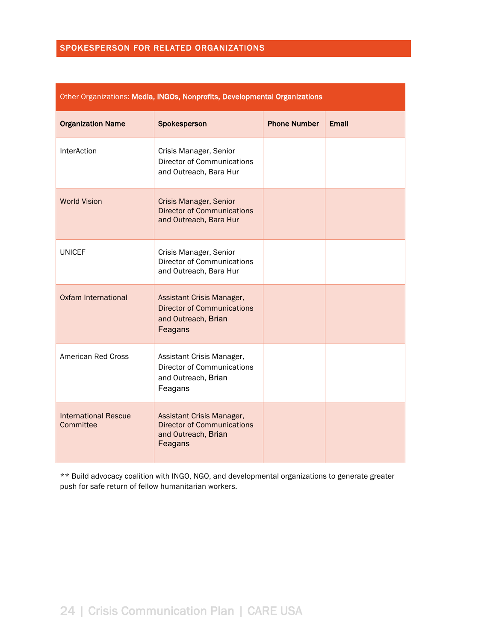## SPOKESPERSON FOR RELATED ORGANIZATIONS

|                                          | Utilei Urganizativns. M <b>edia, nydus, nunprunts, Develupmentar Urganizativns</b>               |                     |              |
|------------------------------------------|--------------------------------------------------------------------------------------------------|---------------------|--------------|
| <b>Organization Name</b>                 | Spokesperson                                                                                     | <b>Phone Number</b> | <b>Email</b> |
| InterAction                              | Crisis Manager, Senior<br><b>Director of Communications</b><br>and Outreach, Bara Hur            |                     |              |
| <b>World Vision</b>                      | <b>Crisis Manager, Senior</b><br><b>Director of Communications</b><br>and Outreach, Bara Hur     |                     |              |
| <b>UNICEF</b>                            | Crisis Manager, Senior<br><b>Director of Communications</b><br>and Outreach, Bara Hur            |                     |              |
| <b>Oxfam International</b>               | Assistant Crisis Manager,<br><b>Director of Communications</b><br>and Outreach, Brian<br>Feagans |                     |              |
| American Red Cross                       | Assistant Crisis Manager,<br><b>Director of Communications</b><br>and Outreach, Brian<br>Feagans |                     |              |
| <b>International Rescue</b><br>Committee | Assistant Crisis Manager,<br><b>Director of Communications</b><br>and Outreach, Brian<br>Feagans |                     |              |

## Other Organizations: Media, INGOs, Nonprofits, Developmental Organizations

\*\* Build advocacy coalition with INGO, NGO, and developmental organizations to generate greater push for safe return of fellow humanitarian workers.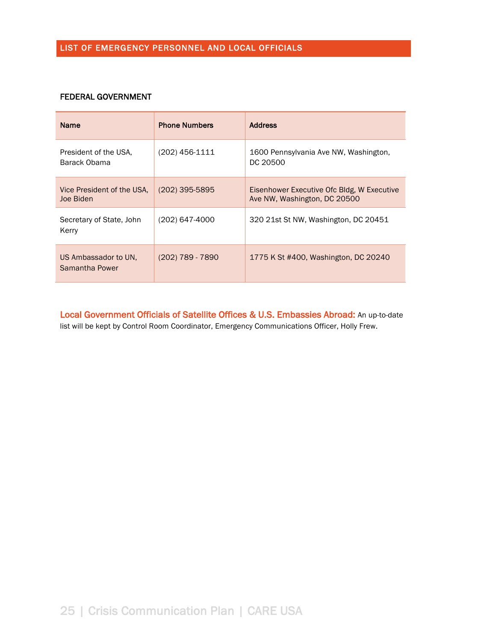#### FEDERAL GOVERNMENT

| <b>Name</b>                             | <b>Phone Numbers</b> | <b>Address</b>                                                             |
|-----------------------------------------|----------------------|----------------------------------------------------------------------------|
| President of the USA.<br>Barack Obama   | $(202)$ 456-1111     | 1600 Pennsylvania Ave NW, Washington,<br>DC 20500                          |
| Vice President of the USA.<br>Joe Biden | $(202)$ 395-5895     | Eisenhower Executive Ofc Bldg, W Executive<br>Ave NW, Washington, DC 20500 |
| Secretary of State, John<br>Kerry       | (202) 647-4000       | 320 21st St NW, Washington, DC 20451                                       |
| US Ambassador to UN.<br>Samantha Power  | (202) 789 - 7890     | 1775 K St #400, Washington, DC 20240                                       |

Local Government Officials of Satellite Offices & U.S. Embassies Abroad: An up-to-date list will be kept by Control Room Coordinator, Emergency Communications Officer, Holly Frew.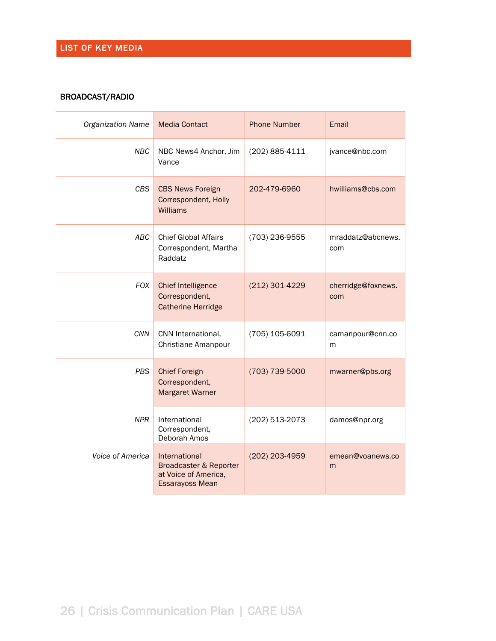## BROADCAST/RADIO

| <b>Organization Name</b> | <b>Media Contact</b>                                                                      | <b>Phone Number</b> | Email                     |
|--------------------------|-------------------------------------------------------------------------------------------|---------------------|---------------------------|
| <b>NBC</b>               | NBC News4 Anchor, Jim<br>Vance                                                            | (202) 885-4111      | jvance@nbc.com            |
| <b>CBS</b>               | <b>CBS News Foreign</b><br>Correspondent, Holly<br>Williams                               | 202-479-6960        | hwilliams@cbs.com         |
| ABC                      | <b>Chief Global Affairs</b><br>Correspondent, Martha<br>Raddatz                           | (703) 236-9555      | mraddatz@abcnews.<br>com  |
| <b>FOX</b>               | <b>Chief Intelligence</b><br>Correspondent,<br><b>Catherine Herridge</b>                  | (212) 301-4229      | cherridge@foxnews.<br>com |
| CNN                      | CNN International,<br>Christiane Amanpour                                                 | (705) 105-6091      | camanpour@cnn.co<br>m     |
| <b>PBS</b>               | <b>Chief Foreign</b><br>Correspondent,<br><b>Margaret Warner</b>                          | (703) 739-5000      | mwarner@pbs.org           |
| <b>NPR</b>               | International<br>Correspondent,<br>Deborah Amos                                           | (202) 513-2073      | damos@npr.org             |
| Voice of America         | International<br>Broadcaster & Reporter<br>at Voice of America,<br><b>Essarayoss Mean</b> | (202) 203-4959      | emean@voanews.co<br>m     |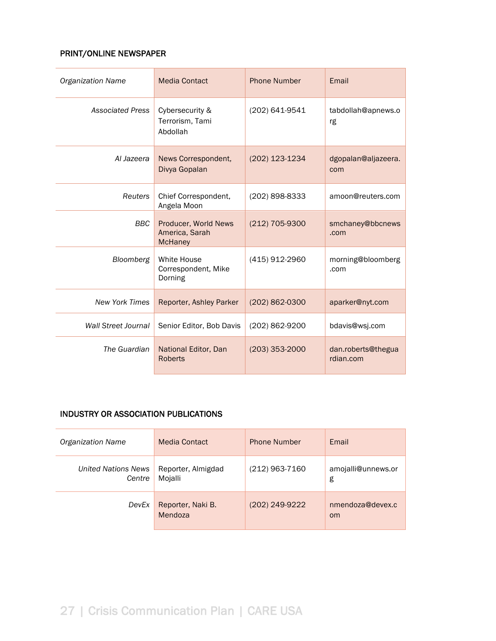## PRINT/ONLINE NEWSPAPER

| <b>Organization Name</b>   | <b>Media Contact</b>                                     | <b>Phone Number</b> | Email                           |
|----------------------------|----------------------------------------------------------|---------------------|---------------------------------|
| <b>Associated Press</b>    | Cybersecurity &<br>Terrorism, Tami<br>Abdollah           | (202) 641-9541      | tabdollah@apnews.o<br>rg        |
| Al Jazeera                 | News Correspondent,<br>Divya Gopalan                     | (202) 123-1234      | dgopalan@aljazeera.<br>com      |
| Reuters                    | Chief Correspondent,<br>Angela Moon                      | (202) 898-8333      | amoon@reuters.com               |
| <b>BBC</b>                 | Producer, World News<br>America, Sarah<br><b>McHaney</b> | (212) 705-9300      | smchaney@bbcnews<br>.com        |
| Bloomberg                  | White House<br>Correspondent, Mike<br>Dorning            | (415) 912-2960      | morning@bloomberg<br>.com       |
| <b>New York Times</b>      | Reporter, Ashley Parker                                  | (202) 862-0300      | aparker@nyt.com                 |
| <b>Wall Street Journal</b> | Senior Editor, Bob Davis                                 | (202) 862-9200      | bdavis@wsj.com                  |
| The Guardian               | National Editor, Dan<br><b>Roberts</b>                   | $(203)$ 353-2000    | dan.roberts@thegua<br>rdian.com |

## INDUSTRY OR ASSOCIATION PUBLICATIONS

| <b>Organization Name</b>             | <b>Media Contact</b>          | <b>Phone Number</b> | Email                             |
|--------------------------------------|-------------------------------|---------------------|-----------------------------------|
| <b>United Nations News</b><br>Centre | Reporter, Almigdad<br>Mojalli | (212) 963-7160      | amojalli@unnews.or<br>g           |
| DevEx                                | Reporter, Naki B.<br>Mendoza  | (202) 249-9222      | nmendoza@devex.c<br><sub>om</sub> |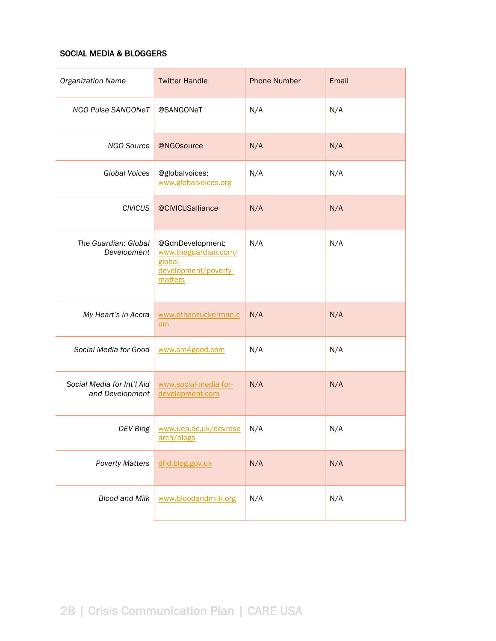## SOCIAL MEDIA & BLOGGERS

| <b>Organization Name</b>                      | <b>Twitter Handle</b>                                                                  | <b>Phone Number</b> | Email |
|-----------------------------------------------|----------------------------------------------------------------------------------------|---------------------|-------|
| NGO Pulse SANGONeT                            | @SANGONeT                                                                              | N/A                 | N/A   |
| NGO Source                                    | @NGOsource                                                                             | N/A                 | N/A   |
| <b>Global Voices</b>                          | @globalvoices;<br>www.globalvoices.org                                                 | N/A                 | N/A   |
| <b>CIVICUS</b>                                | @CIVICUSalliance                                                                       | N/A                 | N/A   |
| The Guardian: Global<br>Development           | @GdnDevelopment;<br>www.theguardian.com/<br>global-<br>development/poverty-<br>matters | N/A                 | N/A   |
| My Heart's in Accra                           | www.ethanzuckerman.c<br>$om$                                                           | N/A                 | N/A   |
| Social Media for Good                         | www.sm4good.com                                                                        | N/A                 | N/A   |
| Social Media for Int'l Aid<br>and Development | www.social-media-for-<br>development.com                                               | N/A                 | N/A   |
| DEV Blog                                      | www.uea.ac.uk/devrese<br>arch/blogs                                                    | N/A                 | N/A   |
| <b>Poverty Matters</b>                        | dfid.blog.gov.uk                                                                       | N/A                 | N/A   |
| <b>Blood and Milk</b>                         | www.bloodandmilk.org                                                                   | N/A                 | N/A   |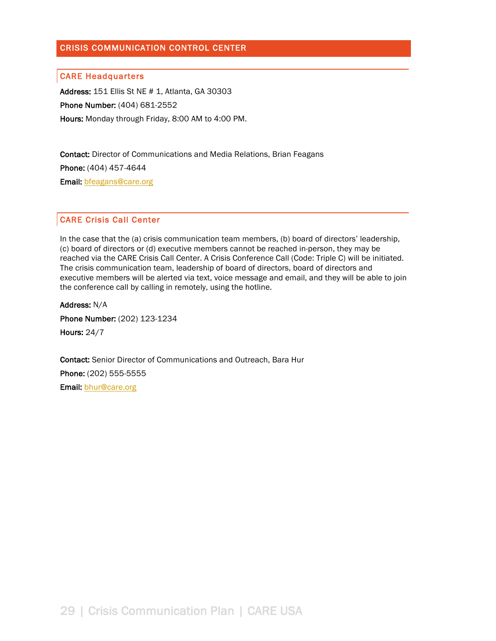### CRISIS COMMUNICATION CONTROL CENTER

#### CARE Headquarters

Address: 151 Ellis St NE # 1, Atlanta, GA 30303 Phone Number: (404) 681-2552 Hours: Monday through Friday, 8:00 AM to 4:00 PM.

Contact: Director of Communications and Media Relations, Brian Feagans Phone: (404) 457-4644 Email: bfeagans@care.org

#### CARE Crisis Call Center

In the case that the (a) crisis communication team members, (b) board of directors' leadership, (c) board of directors or (d) executive members cannot be reached in-person, they may be reached via the CARE Crisis Call Center. A Crisis Conference Call (Code: Triple C) will be initiated. The crisis communication team, leadership of board of directors, board of directors and executive members will be alerted via text, voice message and email, and they will be able to join the conference call by calling in remotely, using the hotline.

Address: N/A Phone Number: (202) 123-1234 Hours: 24/7

Contact: Senior Director of Communications and Outreach, Bara Hur Phone: (202) 555-5555 Email: bhur@care.org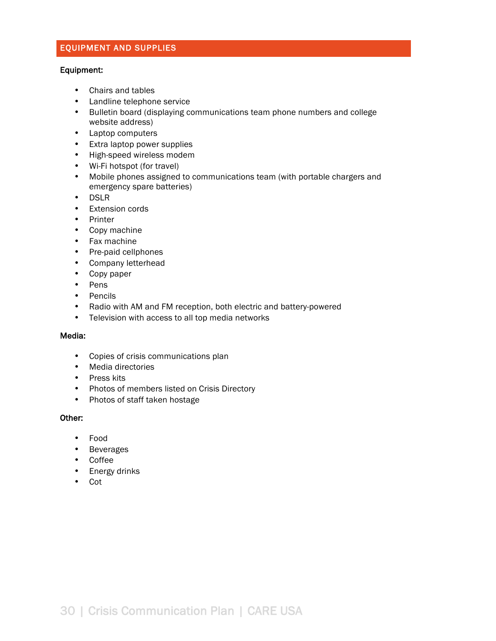## EQUIPMENT AND SUPPLIES

#### Equipment:

- Chairs and tables
- Landline telephone service
- Bulletin board (displaying communications team phone numbers and college website address)
- Laptop computers
- Extra laptop power supplies
- High-speed wireless modem
- Wi-Fi hotspot (for travel)
- Mobile phones assigned to communications team (with portable chargers and emergency spare batteries)
- DSLR
- Extension cords
- Printer
- Copy machine
- Fax machine
- Pre-paid cellphones
- Company letterhead
- Copy paper
- Pens
- Pencils
- Radio with AM and FM reception, both electric and battery-powered
- Television with access to all top media networks

#### Media:

- Copies of crisis communications plan
- Media directories
- Press kits
- Photos of members listed on Crisis Directory
- Photos of staff taken hostage

#### Other:

- Food
- Beverages
- Coffee
- Energy drinks
- Cot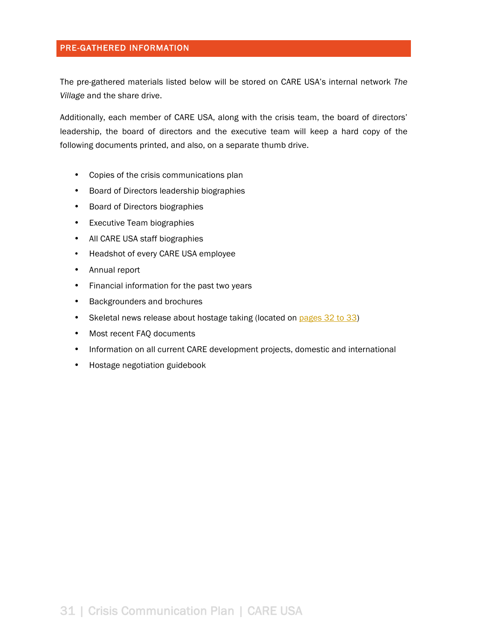#### PRE-GATHERED INFORMATION

The pre-gathered materials listed below will be stored on CARE USA's internal network *The Village* and the share drive.

Additionally, each member of CARE USA, along with the crisis team, the board of directors' leadership, the board of directors and the executive team will keep a hard copy of the following documents printed, and also, on a separate thumb drive.

- Copies of the crisis communications plan
- Board of Directors leadership biographies
- Board of Directors biographies
- Executive Team biographies
- All CARE USA staff biographies
- Headshot of every CARE USA employee
- Annual report
- Financial information for the past two years
- Backgrounders and brochures
- Skeletal news release about hostage taking (located on pages 32 to 33)
- Most recent FAQ documents
- Information on all current CARE development projects, domestic and international
- Hostage negotiation guidebook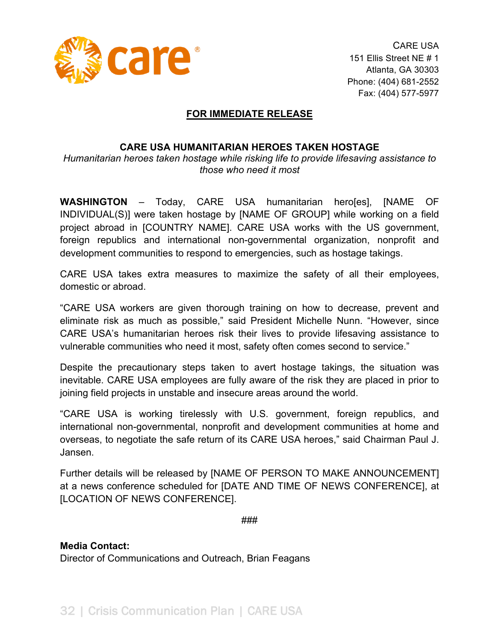

CARE USA 151 Ellis Street NE # 1 Atlanta, GA 30303 Phone: (404) 681-2552 Fax: (404) 577-5977

## **FOR IMMEDIATE RELEASE**

## **CARE USA HUMANITARIAN HEROES TAKEN HOSTAGE**

*Humanitarian)heroes)taken)hostage)while)risking)life)to)provide)lifesaving)assistance)to) those)who)need)it)most*

**WASHINGTON** – Today, CARE USA humanitarian hero[es], [NAME OF INDIVIDUAL(S)] were taken hostage by [NAME OF GROUP] while working on a field project abroad in [COUNTRY NAME]. CARE USA works with the US government, foreign republics and international non-governmental organization, nonprofit and development communities to respond to emergencies, such as hostage takings.

CARE USA takes extra measures to maximize the safety of all their employees, domestic or abroad.

"CARE USA workers are given thorough training on how to decrease, prevent and eliminate risk as much as possible," said President Michelle Nunn. "However, since CARE USA's humanitarian heroes risk their lives to provide lifesaving assistance to vulnerable communities who need it most, safety often comes second to service."

Despite the precautionary steps taken to avert hostage takings, the situation was inevitable. CARE USA employees are fully aware of the risk they are placed in prior to joining field projects in unstable and insecure areas around the world.

"CARE USA is working tirelessly with U.S. government, foreign republics, and international non-governmental, nonprofit and development communities at home and overseas, to negotiate the safe return of its CARE USA heroes," said Chairman Paul J. Jansen.

Further details will be released by [NAME OF PERSON TO MAKE ANNOUNCEMENT] at a news conference scheduled for [DATE AND TIME OF NEWS CONFERENCE], at [LOCATION OF NEWS CONFERENCE].

###

**Media Contact:** Director of Communications and Outreach, Brian Feagans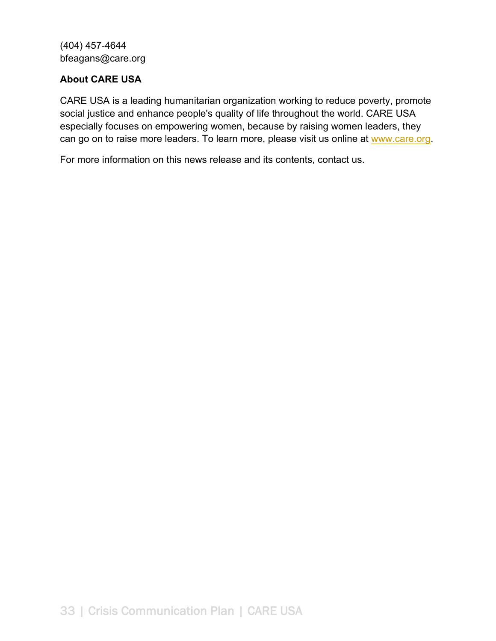(404) 457-4644 bfeagans@care.org

# **About CARE USA**

CARE USA is a leading humanitarian organization working to reduce poverty, promote social justice and enhance people's quality of life throughout the world. CARE USA especially focuses on empowering women, because by raising women leaders, they can go on to raise more leaders. To learn more, please visit us online at www.care.org.

For more information on this news release and its contents, contact us.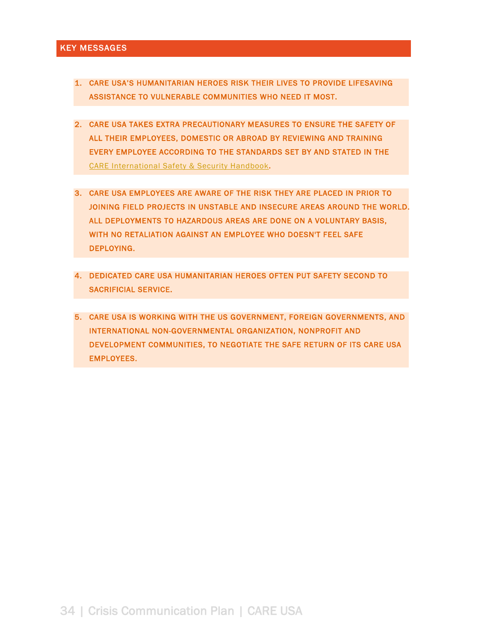#### KEY MESSAGES

- 1. CARE USA'S HUMANITARIAN HEROES RISK THEIR LIVES TO PROVIDE LIFESAVING ASSISTANCE TO VULNERABLE COMMUNITIES WHO NEED IT MOST.
- 2. CARE USA TAKES EXTRA PRECAUTIONARY MEASURES TO ENSURE THE SAFETY OF ALL THEIR EMPLOYEES, DOMESTIC OR ABROAD BY REVIEWING AND TRAINING EVERY EMPLOYEE ACCORDING TO THE STANDARDS SET BY AND STATED IN THE CARE International Safety & Security Handbook.
- 3. CARE USA EMPLOYEES ARE AWARE OF THE RISK THEY ARE PLACED IN PRIOR TO JOINING FIELD PROJECTS IN UNSTABLE AND INSECURE AREAS AROUND THE WORLD. ALL DEPLOYMENTS TO HAZARDOUS AREAS ARE DONE ON A VOLUNTARY BASIS, WITH NO RETALIATION AGAINST AN EMPLOYEE WHO DOESN'T FEEL SAFE DEPLOYING.
- 4. DEDICATED CARE USA HUMANITARIAN HEROES OFTEN PUT SAFETY SECOND TO SACRIFICIAL SERVICE.
- 5. CARE USA IS WORKING WITH THE US GOVERNMENT, FOREIGN GOVERNMENTS, AND INTERNATIONAL NON-GOVERNMENTAL ORGANIZATION, NONPROFIT AND DEVELOPMENT COMMUNITIES, TO NEGOTIATE THE SAFE RETURN OF ITS CARE USA EMPLOYEES.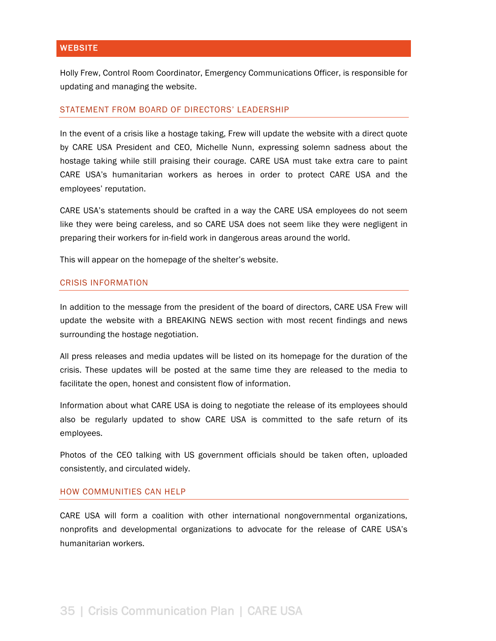Holly Frew, Control Room Coordinator, Emergency Communications Officer, is responsible for updating and managing the website.

#### STATEMENT FROM BOARD OF DIRECTORS' LEADERSHIP

In the event of a crisis like a hostage taking, Frew will update the website with a direct quote by CARE USA President and CEO, Michelle Nunn, expressing solemn sadness about the hostage taking while still praising their courage. CARE USA must take extra care to paint CARE USA's humanitarian workers as heroes in order to protect CARE USA and the employees' reputation.

CARE USA's statements should be crafted in a way the CARE USA employees do not seem like they were being careless, and so CARE USA does not seem like they were negligent in preparing their workers for in-field work in dangerous areas around the world.

This will appear on the homepage of the shelter's website.

#### CRISIS INFORMATION

In addition to the message from the president of the board of directors, CARE USA Frew will update the website with a BREAKING NEWS section with most recent findings and news surrounding the hostage negotiation.

All press releases and media updates will be listed on its homepage for the duration of the crisis. These updates will be posted at the same time they are released to the media to facilitate the open, honest and consistent flow of information.

Information about what CARE USA is doing to negotiate the release of its employees should also be regularly updated to show CARE USA is committed to the safe return of its employees.

Photos of the CEO talking with US government officials should be taken often, uploaded consistently, and circulated widely.

#### HOW COMMUNITIES CAN HELP

CARE USA will form a coalition with other international nongovernmental organizations, nonprofits and developmental organizations to advocate for the release of CARE USA's humanitarian workers.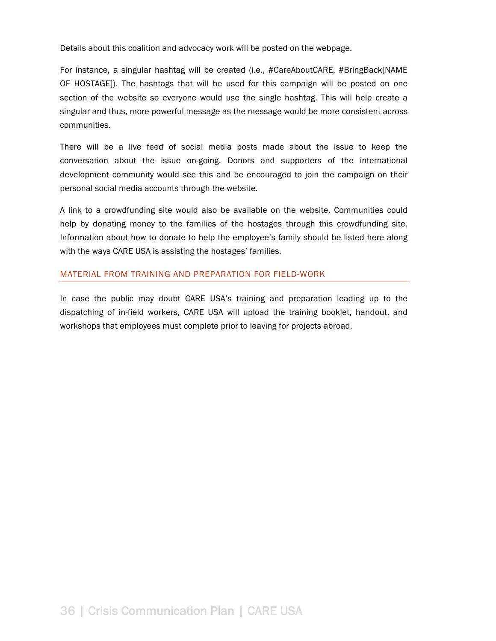Details about this coalition and advocacy work will be posted on the webpage.

For instance, a singular hashtag will be created (i.e., #CareAboutCARE, #BringBack[NAME OF HOSTAGE]). The hashtags that will be used for this campaign will be posted on one section of the website so everyone would use the single hashtag. This will help create a singular and thus, more powerful message as the message would be more consistent across communities.

There will be a live feed of social media posts made about the issue to keep the conversation about the issue on-going. Donors and supporters of the international development community would see this and be encouraged to join the campaign on their personal social media accounts through the website.

A link to a crowdfunding site would also be available on the website. Communities could help by donating money to the families of the hostages through this crowdfunding site. Information about how to donate to help the employee's family should be listed here along with the ways CARE USA is assisting the hostages' families.

#### MATERIAL FROM TRAINING AND PREPARATION FOR FIELD-WORK

In case the public may doubt CARE USA's training and preparation leading up to the dispatching of in-field workers, CARE USA will upload the training booklet, handout, and workshops that employees must complete prior to leaving for projects abroad.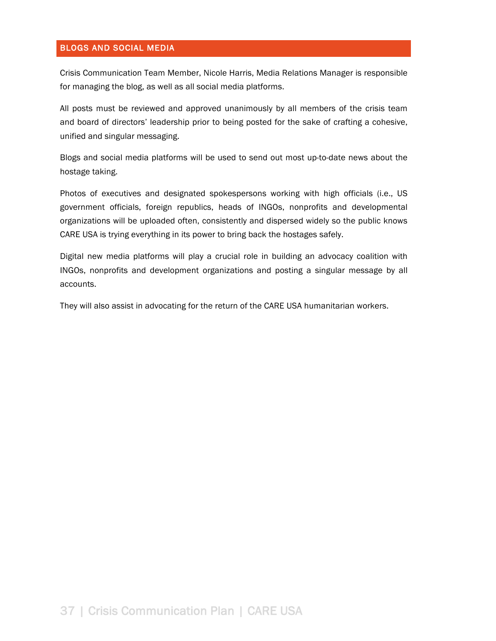#### BLOGS AND SOCIAL MEDIA

Crisis Communication Team Member, Nicole Harris, Media Relations Manager is responsible for managing the blog, as well as all social media platforms.

All posts must be reviewed and approved unanimously by all members of the crisis team and board of directors' leadership prior to being posted for the sake of crafting a cohesive, unified and singular messaging.

Blogs and social media platforms will be used to send out most up-to-date news about the hostage taking.

Photos of executives and designated spokespersons working with high officials (i.e., US government officials, foreign republics, heads of INGOs, nonprofits and developmental organizations will be uploaded often, consistently and dispersed widely so the public knows CARE USA is trying everything in its power to bring back the hostages safely.

Digital new media platforms will play a crucial role in building an advocacy coalition with INGOs, nonprofits and development organizations and posting a singular message by all accounts.

They will also assist in advocating for the return of the CARE USA humanitarian workers.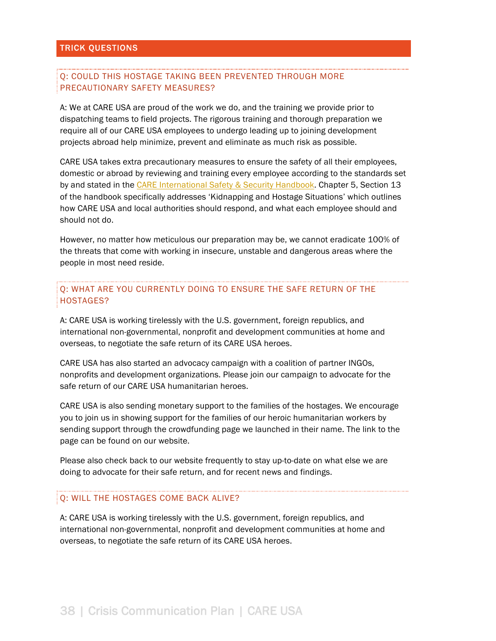## Q: COULD THIS HOSTAGE TAKING BEEN PREVENTED THROUGH MORE PRECAUTIONARY SAFETY MEASURES?

A: We at CARE USA are proud of the work we do, and the training we provide prior to dispatching teams to field projects. The rigorous training and thorough preparation we require all of our CARE USA employees to undergo leading up to joining development projects abroad help minimize, prevent and eliminate as much risk as possible.

CARE USA takes extra precautionary measures to ensure the safety of all their employees, domestic or abroad by reviewing and training every employee according to the standards set by and stated in the CARE International Safety & Security Handbook. Chapter 5, Section 13 of the handbook specifically addresses 'Kidnapping and Hostage Situations' which outlines how CARE USA and local authorities should respond, and what each employee should and should not do.

However, no matter how meticulous our preparation may be, we cannot eradicate 100% of the threats that come with working in insecure, unstable and dangerous areas where the people in most need reside.

Q: WHAT ARE YOU CURRENTLY DOING TO ENSURE THE SAFE RETURN OF THE HOSTAGES?

A: CARE USA is working tirelessly with the U.S. government, foreign republics, and international non-governmental, nonprofit and development communities at home and overseas, to negotiate the safe return of its CARE USA heroes.

CARE USA has also started an advocacy campaign with a coalition of partner INGOs, nonprofits and development organizations. Please join our campaign to advocate for the safe return of our CARE USA humanitarian heroes.

CARE USA is also sending monetary support to the families of the hostages. We encourage you to join us in showing support for the families of our heroic humanitarian workers by sending support through the crowdfunding page we launched in their name. The link to the page can be found on our website.

Please also check back to our website frequently to stay up-to-date on what else we are doing to advocate for their safe return, and for recent news and findings.

#### Q: WILL THE HOSTAGES COME BACK ALIVE?

A: CARE USA is working tirelessly with the U.S. government, foreign republics, and international non-governmental, nonprofit and development communities at home and overseas, to negotiate the safe return of its CARE USA heroes.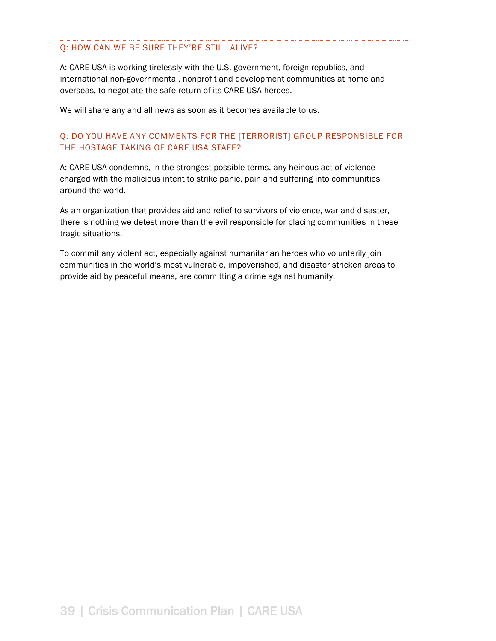## Q: HOW CAN WE BE SURE THEY'RE STILL ALIVE?

A: CARE USA is working tirelessly with the U.S. government, foreign republics, and international non-governmental, nonprofit and development communities at home and overseas, to negotiate the safe return of its CARE USA heroes.

We will share any and all news as soon as it becomes available to us.

## Q: DO YOU HAVE ANY COMMENTS FOR THE [TERRORIST] GROUP RESPONSIBLE FOR THE HOSTAGE TAKING OF CARE USA STAFF?

A: CARE USA condemns, in the strongest possible terms, any heinous act of violence charged with the malicious intent to strike panic, pain and suffering into communities around the world.

As an organization that provides aid and relief to survivors of violence, war and disaster, there is nothing we detest more than the evil responsible for placing communities in these tragic situations.

To commit any violent act, especially against humanitarian heroes who voluntarily join communities in the world's most vulnerable, impoverished, and disaster stricken areas to provide aid by peaceful means, are committing a crime against humanity.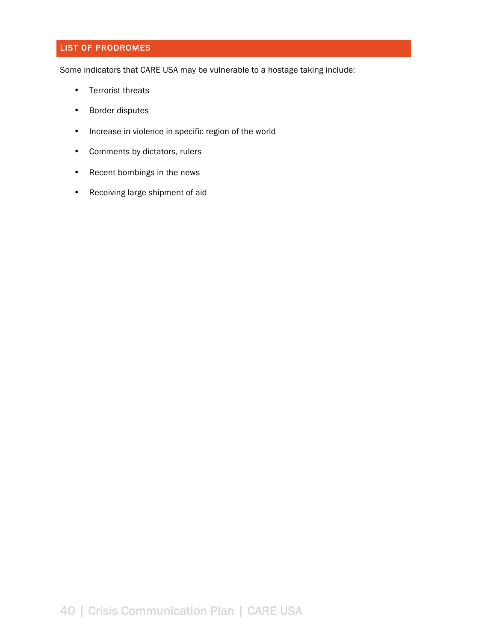# LIST OF PRODROMES

Some indicators that CARE USA may be vulnerable to a hostage taking include:

- Terrorist threats
- Border disputes
- Increase in violence in specific region of the world
- Comments by dictators, rulers
- Recent bombings in the news
- Receiving large shipment of aid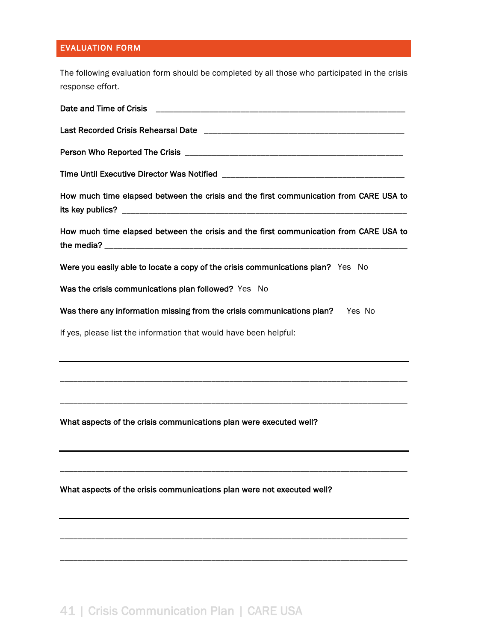# EVALUATION FORM

The following evaluation form should be completed by all those who participated in the crisis response effort.

| How much time elapsed between the crisis and the first communication from CARE USA to |
|---------------------------------------------------------------------------------------|
| How much time elapsed between the crisis and the first communication from CARE USA to |
| Were you easily able to locate a copy of the crisis communications plan? Yes No       |
| Was the crisis communications plan followed? Yes No                                   |
| Was there any information missing from the crisis communications plan? Yes No         |
| If yes, please list the information that would have been helpful:                     |
|                                                                                       |
|                                                                                       |
| What aspects of the crisis communications plan were executed well?                    |
|                                                                                       |
| What aspects of the crisis communications plan were not executed well?                |
|                                                                                       |

\_\_\_\_\_\_\_\_\_\_\_\_\_\_\_\_\_\_\_\_\_\_\_\_\_\_\_\_\_\_\_\_\_\_\_\_\_\_\_\_\_\_\_\_\_\_\_\_\_\_\_\_\_\_\_\_\_\_\_\_\_\_\_\_\_\_\_\_\_\_\_\_\_\_\_\_\_\_